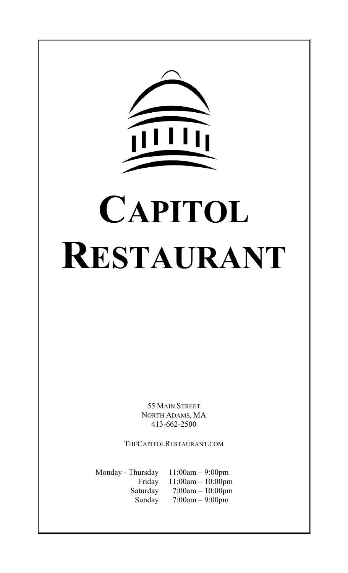

55 MAIN STREET NORTH ADAMS, MA 413-662-2500

THECAPITOLRESTAURANT.COM

Monday - Thursday 11:00am – 9:00pm Friday 11:00am – 10:00pm Saturday 7:00am – 10:00pm Sunday 7:00am – 9:00pm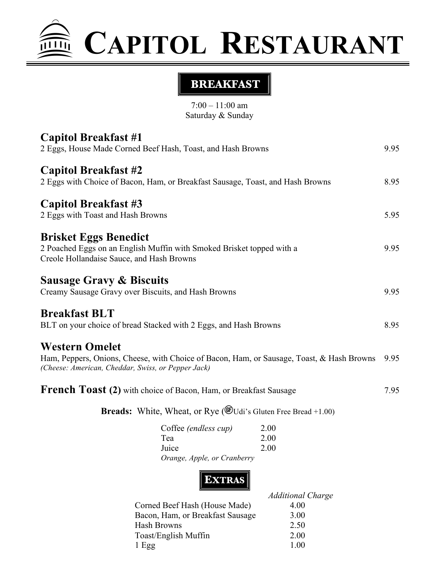# **CAPITOL RESTAURANT**

# **BREAKFAST**

7:00 – 11:00 am Saturday & Sunday

| 9.95<br>2 Eggs, House Made Corned Beef Hash, Toast, and Hash Browns                                                                                                            |
|--------------------------------------------------------------------------------------------------------------------------------------------------------------------------------|
| 2 Eggs with Choice of Bacon, Ham, or Breakfast Sausage, Toast, and Hash Browns<br>8.95                                                                                         |
| 5.95                                                                                                                                                                           |
| 2 Poached Eggs on an English Muffin with Smoked Brisket topped with a<br>9.95                                                                                                  |
| Creamy Sausage Gravy over Biscuits, and Hash Browns<br>9.95                                                                                                                    |
| BLT on your choice of bread Stacked with 2 Eggs, and Hash Browns<br>8.95                                                                                                       |
| Ham, Peppers, Onions, Cheese, with Choice of Bacon, Ham, or Sausage, Toast, & Hash Browns<br>9.95<br>(Cheese: American, Cheddar, Swiss, or Pepper Jack)                        |
| French Toast (2) with choice of Bacon, Ham, or Breakfast Sausage<br>7.95                                                                                                       |
| <b>Breads:</b> White, Wheat, or Rye ( $\mathcal{C}$ Udi's Gluten Free Bread +1.00)                                                                                             |
| Coffee (endless cup)<br>2.00<br>2.00<br>2.00<br>Orange, Apple, or Cranberry                                                                                                    |
| <b>EXTRAS</b><br><b>Additional Charge</b><br>4.00<br>Corned Beef Hash (House Made)<br>Bacon, Ham, or Breakfast Sausage<br>3.00<br>2.50<br>Toast/English Muffin<br>2.00<br>1.00 |
|                                                                                                                                                                                |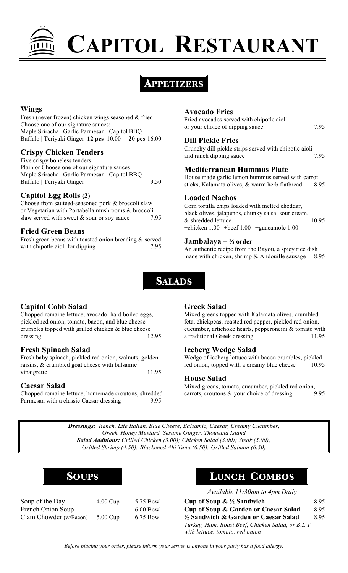

# **APPETIZERS**

#### **Wings**

Fresh (never frozen) chicken wings seasoned & fried Choose one of our signature sauces: Maple Sriracha | Garlic Parmesan | Capitol BBQ | Buffalo | Teriyaki Ginger **12 pcs** 10.00 **20 pcs** 16.00

#### **Crispy Chicken Tenders**

Five crispy boneless tenders Plain or Choose one of our signature sauces: Maple Sriracha | Garlic Parmesan | Capitol BBQ | Buffalo | Teriyaki Ginger 9.50

#### **Capitol Egg Rolls (2)**

Choose from sautéed-seasoned pork & broccoli slaw or Vegetarian with Portabella mushrooms & broccoli slaw served with sweet  $&$  sour or soy sauce 7.95

#### **Fried Green Beans**

Fresh green beans with toasted onion breading & served with chipotle aioli for dipping 7.95

#### **Avocado Fries**

Fried avocados served with chipotle aioli or your choice of dipping sauce 7.95

**Dill Pickle Fries**

Crunchy dill pickle strips served with chipotle aioli and ranch dipping sauce 7.95

#### **Mediterranean Hummus Plate**

House made garlic lemon hummus served with carrot sticks, Kalamata olives, & warm herb flatbread 8.95

#### **Loaded Nachos**

Corn tortilla chips loaded with melted cheddar, black olives, jalapenos, chunky salsa, sour cream, & shredded lettuce 10.95 +chicken 1.00 | +beef 1.00 | +guacamole 1.00

#### **Jambalaya – ½ order**

An authentic recipe from the Bayou, a spicy rice dish made with chicken, shrimp & Andouille sausage 8.95



# **Capitol Cobb Salad**

Chopped romaine lettuce, avocado, hard boiled eggs, pickled red onion, tomato, bacon, and blue cheese crumbles topped with grilled chicken & blue cheese dressing 12.95

#### **Fresh Spinach Salad**

Fresh baby spinach, pickled red onion, walnuts, golden raisins, & crumbled goat cheese with balsamic vinaigrette 11.95

#### **Caesar Salad**

Chopped romaine lettuce, homemade croutons, shredded Parmesan with a classic Caesar dressing 9.95

#### **Greek Salad**

Mixed greens topped with Kalamata olives, crumbled feta, chickpeas, roasted red pepper, pickled red onion, cucumber, artichoke hearts, pepperoncini & tomato with a traditional Greek dressing 11.95

#### **Iceberg Wedge Salad**

Wedge of iceberg lettuce with bacon crumbles, pickled red onion, topped with a creamy blue cheese 10.95

#### **House Salad**

Mixed greens, tomato, cucumber, pickled red onion, carrots, croutons & your choice of dressing 9.95

*Dressings: Ranch, Lite Italian, Blue Cheese, Balsamic, Caesar, Creamy Cucumber, Greek, Honey Mustard, Sesame Ginger, Thousand Island Salad Additions: Grilled Chicken (3.00); Chicken Salad (3.00); Steak (5.00); Grilled Shrimp (4.50); Blackened Ahi Tuna (6.50); Grilled Salmon (6.50)*

| Sours |
|-------|
|       |

| Soup of the Day        | $4.00 \,\mathrm{Cup}$ | 5.75 Bow   |
|------------------------|-----------------------|------------|
| French Onion Soup      |                       | $6.00$ Bow |
| Clam Chowder (w/Bacon) | $5.00$ Cup            | 6.75 Bow   |

# **SOUPS LUNCH COMBOS**

*Available 11:30am to 4pm Daily*

| Soup of the Day        | $4.00 \,\mathrm{Cup}$ | 5.75 Bowl   | Cup of Soup $\& \frac{1}{2}$ Sandwich            | 8.95 |
|------------------------|-----------------------|-------------|--------------------------------------------------|------|
| French Onion Soup      |                       | $6.00$ Bowl | Cup of Soup & Garden or Caesar Salad             | 8.95 |
| Clam Chowder (w/Bacon) | $5.00$ Cup            | 6.75 Bowl   | 1/2 Sandwich & Garden or Caesar Salad            | 895  |
|                        |                       |             | Turkey, Ham, Roast Beef, Chicken Salad, or B.L.T |      |
|                        |                       |             | with lettuce, tomato, red onion                  |      |

*Before placing your order, please inform your server is anyone in your party has a food allergy.*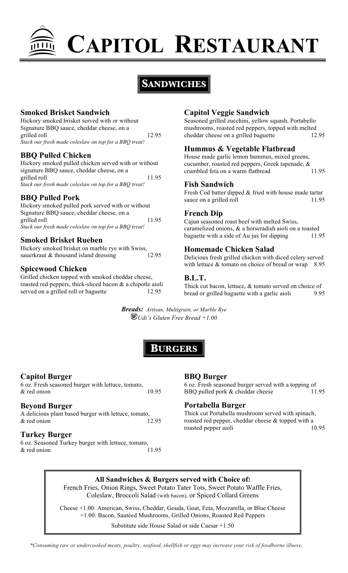

# **SANDWICHES**

#### **Smoked Brisket Sandwich**

Hickory smoked brisket served with or without Signature BBQ sauce, cheddar cheese, on a grilled roll 12.95 *Stack our fresh made coleslaw on top for a BBQ treat!*

#### **BBQ Pulled Chicken**

Hickory smoked pulled chicken served with or without signature BBQ sauce, cheddar cheese, on a grilled roll 11.95 *Stack our fresh made coleslaw on top for a BBQ treat!*

# **BBQ Pulled Pork**

Hickory smoked pulled pork served with or without Signature BBQ sauce, cheddar cheese, on a grilled roll 11.95 *Stack our fresh made coleslaw on top for a BBQ treat!*

# **Smoked Brisket Rueben**

Hickory smoked brisket on marble rye with Swiss, sauerkraut & thousand island dressing 12.95

# **Spicewood Chicken**

Grilled chicken topped with smoked cheddar cheese, roasted red peppers, thick-sliced bacon & a chipotle aioli served on a grilled roll or baguette 12.95

# **Capitol Veggie Sandwich**

Seasoned grilled zucchini, yellow squash, Portabello mushrooms, roasted red peppers, topped with melted cheddar cheese on a grilled baguette 12.95

# **Hummus & Vegetable Flatbread**

House made garlic lemon hummus, mixed greens, cucumber, roasted red peppers, Greek tapenade, & crumbled feta on a warm flatbread 11.95

#### **Fish Sandwich**

Fresh Cod batter dipped & fried with house made tartar sauce on a grilled roll 11.95

#### **French Dip**

Cajun seasoned roast beef with melted Swiss, caramelized onions, & a horseradish aioli on a toasted baguette with a side of Au jus for dipping 11.95

# **Homemade Chicken Salad**

Delicious fresh grilled chicken with diced celery served with lettuce  $&$  tomato on choice of bread or wrap 8.95

#### **B.L.T.**

Thick cut bacon, lettuce, & tomato served on choice of bread or grilled baguette with a garlic aioli 9.95

*Breads: Artisan, Multigrain, or Marble Rye Udi's Gluten Free Bread +1.00*



# **Capitol Burger**

6 oz. Fresh seasoned burger with lettuce, tomato,  $&$  red onion  $10.95&$ 

# **Beyond Burger**

A delicious plant based burger with lettuce, tomato,  $\&$  red onion 12.95

# **Turkey Burger**

6 oz. Seasoned Turkey burger with lettuce, tomato,  $\&$  red onion 11.95

# **BBQ Burger**

6 oz. Fresh seasoned burger served with a topping of BBQ pulled pork & cheddar cheese 11.95

#### **Portabella Burger**

Thick cut Portabella mushroom served with spinach, roasted red pepper, cheddar cheese & topped with a roasted pepper aioli 10.95

#### **All Sandwiches & Burgers served with Choice of:**

French Fries, Onion Rings, Sweet Potato Tater Tots, Sweet Potato Waffle Fries, Coleslaw, Broccoli Salad (with bacon), or Spiced Collard Greens

Cheese +1.00: American, Swiss, Cheddar, Gouda, Goat, Feta, Mozzarella, or Blue Cheese +1.00: Bacon, Sautéed Mushrooms, Grilled Onions, Roasted Red Peppers

Substitute side House Salad or side Caesar +1.50

*\*Consuming raw or undercooked meats, poultry, seafood, shellfish or eggs may increase your risk of foodborne illness.*